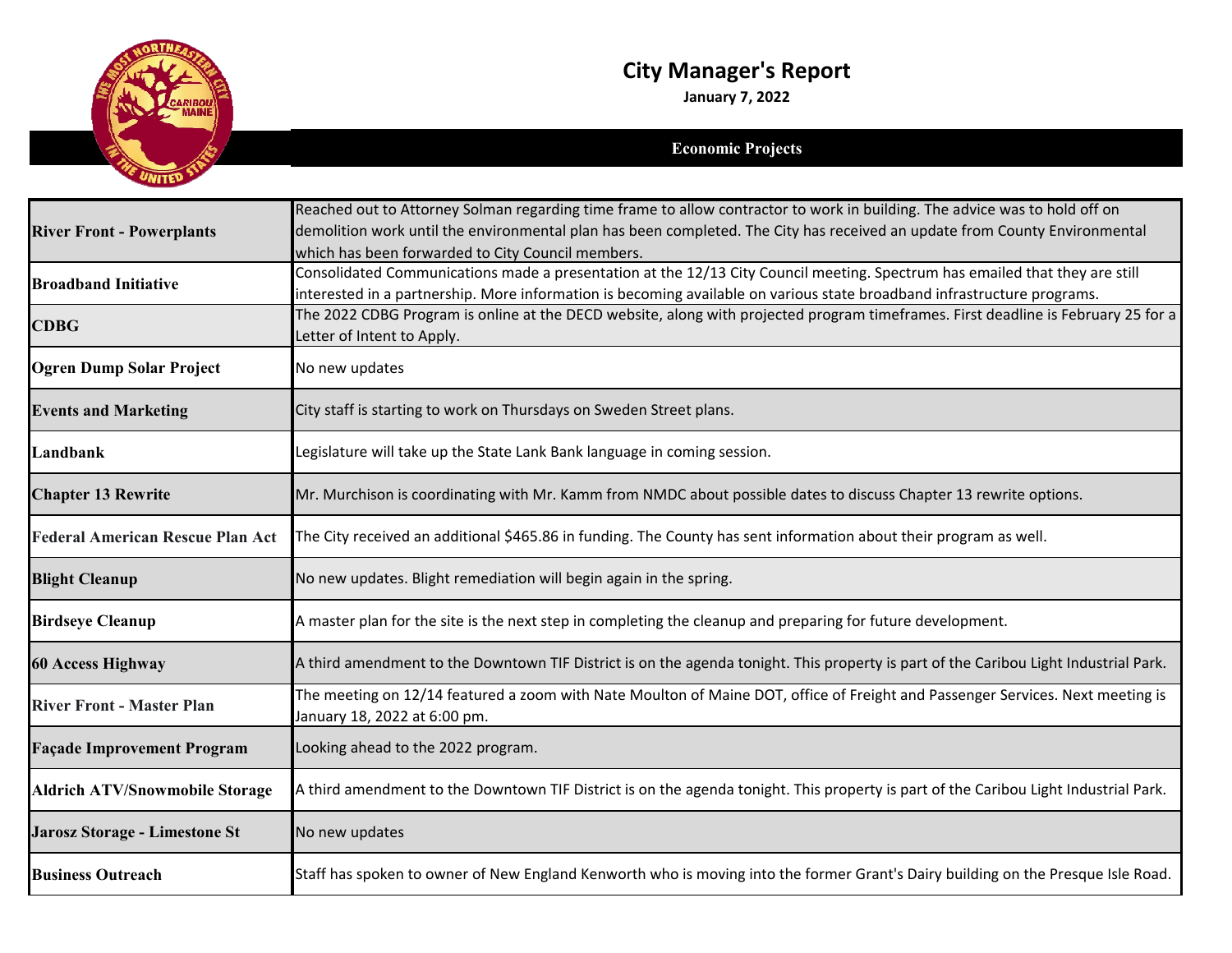

## **City Manager's Report**

**January 7, 2022**

## **Economic Projects**

|                                         | Reached out to Attorney Solman regarding time frame to allow contractor to work in building. The advice was to hold off on<br>demolition work until the environmental plan has been completed. The City has received an update from County Environmental |
|-----------------------------------------|----------------------------------------------------------------------------------------------------------------------------------------------------------------------------------------------------------------------------------------------------------|
| <b>River Front - Powerplants</b>        | which has been forwarded to City Council members.                                                                                                                                                                                                        |
| <b>Broadband Initiative</b>             | Consolidated Communications made a presentation at the 12/13 City Council meeting. Spectrum has emailed that they are still<br>interested in a partnership. More information is becoming available on various state broadband infrastructure programs.   |
| <b>CDBG</b>                             | The 2022 CDBG Program is online at the DECD website, along with projected program timeframes. First deadline is February 25 for a<br>Letter of Intent to Apply.                                                                                          |
| <b>Ogren Dump Solar Project</b>         | No new updates                                                                                                                                                                                                                                           |
| <b>Events and Marketing</b>             | City staff is starting to work on Thursdays on Sweden Street plans.                                                                                                                                                                                      |
| Landbank                                | Legislature will take up the State Lank Bank language in coming session.                                                                                                                                                                                 |
| <b>Chapter 13 Rewrite</b>               | Mr. Murchison is coordinating with Mr. Kamm from NMDC about possible dates to discuss Chapter 13 rewrite options.                                                                                                                                        |
| <b>Federal American Rescue Plan Act</b> | The City received an additional \$465.86 in funding. The County has sent information about their program as well.                                                                                                                                        |
| <b>Blight Cleanup</b>                   | No new updates. Blight remediation will begin again in the spring.                                                                                                                                                                                       |
| <b>Birdseye Cleanup</b>                 | A master plan for the site is the next step in completing the cleanup and preparing for future development.                                                                                                                                              |
| <b>60 Access Highway</b>                | A third amendment to the Downtown TIF District is on the agenda tonight. This property is part of the Caribou Light Industrial Park.                                                                                                                     |
| <b>River Front - Master Plan</b>        | The meeting on 12/14 featured a zoom with Nate Moulton of Maine DOT, office of Freight and Passenger Services. Next meeting is<br>January 18, 2022 at 6:00 pm.                                                                                           |
| <b>Façade Improvement Program</b>       | Looking ahead to the 2022 program.                                                                                                                                                                                                                       |
| <b>Aldrich ATV/Snowmobile Storage</b>   | A third amendment to the Downtown TIF District is on the agenda tonight. This property is part of the Caribou Light Industrial Park.                                                                                                                     |
| Jarosz Storage - Limestone St           | No new updates                                                                                                                                                                                                                                           |
| <b>Business Outreach</b>                | Staff has spoken to owner of New England Kenworth who is moving into the former Grant's Dairy building on the Presque Isle Road.                                                                                                                         |